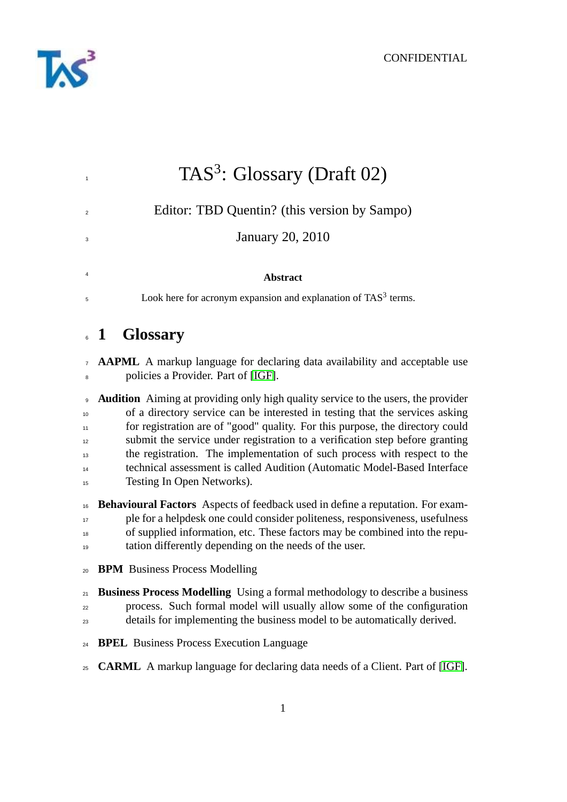

| $\mathbf{1}$                          | TAS <sup>3</sup> : Glossary (Draft 02)                                                                                                                                                                                                                                                                                                                                                                                                                                                                                          |
|---------------------------------------|---------------------------------------------------------------------------------------------------------------------------------------------------------------------------------------------------------------------------------------------------------------------------------------------------------------------------------------------------------------------------------------------------------------------------------------------------------------------------------------------------------------------------------|
| $\overline{2}$                        | Editor: TBD Quentin? (this version by Sampo)                                                                                                                                                                                                                                                                                                                                                                                                                                                                                    |
| 3                                     | <b>January 20, 2010</b>                                                                                                                                                                                                                                                                                                                                                                                                                                                                                                         |
| 4                                     | <b>Abstract</b>                                                                                                                                                                                                                                                                                                                                                                                                                                                                                                                 |
| 5                                     | Look here for acronym expansion and explanation of TAS <sup>3</sup> terms.                                                                                                                                                                                                                                                                                                                                                                                                                                                      |
|                                       | 6 1 Glossary                                                                                                                                                                                                                                                                                                                                                                                                                                                                                                                    |
| $\overline{7}$<br>8                   | <b>AAPML</b> A markup language for declaring data availability and acceptable use<br>policies a Provider. Part of [IGF].                                                                                                                                                                                                                                                                                                                                                                                                        |
| 9<br>10<br>11<br>12<br>13<br>14<br>15 | <b>Audition</b> Aiming at providing only high quality service to the users, the provider<br>of a directory service can be interested in testing that the services asking<br>for registration are of "good" quality. For this purpose, the directory could<br>submit the service under registration to a verification step before granting<br>the registration. The implementation of such process with respect to the<br>technical assessment is called Audition (Automatic Model-Based Interface<br>Testing In Open Networks). |
| 16<br>17<br>18<br>19                  | <b>Behavioural Factors</b> Aspects of feedback used in define a reputation. For exam-<br>ple for a helpdesk one could consider politeness, responsiveness, usefulness<br>of supplied information, etc. These factors may be combined into the repu-<br>tation differently depending on the needs of the user.                                                                                                                                                                                                                   |
| 20                                    | <b>BPM</b> Business Process Modelling                                                                                                                                                                                                                                                                                                                                                                                                                                                                                           |
| 21<br>22<br>23                        | Business Process Modelling Using a formal methodology to describe a business<br>process. Such formal model will usually allow some of the configuration<br>details for implementing the business model to be automatically derived.                                                                                                                                                                                                                                                                                             |
| 24                                    | <b>BPEL</b> Business Process Execution Language                                                                                                                                                                                                                                                                                                                                                                                                                                                                                 |
| 25                                    | <b>CARML</b> A markup language for declaring data needs of a Client. Part of [IGF].                                                                                                                                                                                                                                                                                                                                                                                                                                             |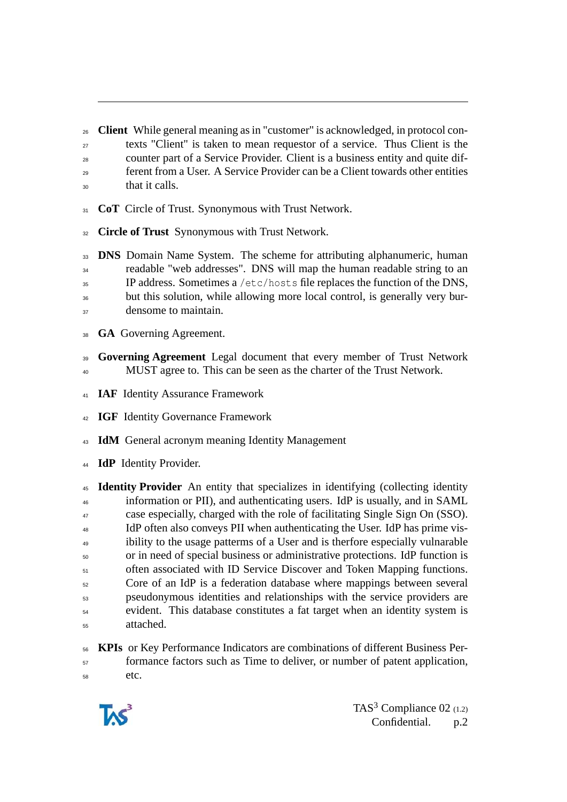**Client** While general meaning as in "customer" is acknowledged, in protocol con-

- texts "Client" is taken to mean requestor of a service. Thus Client is the
- counter part of a Service Provider. Client is a business entity and quite dif-
- ferent from a User. A Service Provider can be a Client towards other entities that it calls.
- **CoT** Circle of Trust. Synonymous with Trust Network.
- **Circle of Trust** Synonymous with Trust Network.

 **DNS** Domain Name System. The scheme for attributing alphanumeric, human <sup>34</sup> readable "web addresses". DNS will map the human readable string to an  $\overline{35}$  IP address. Sometimes a /etc/hosts file replaces the function of the DNS, <sup>36</sup> but this solution, while allowing more local control, is generally very bur-

- densome to maintain.
- **GA** Governing Agreement.
- **Governing Agreement** Legal document that every member of Trust Network MUST agree to. This can be seen as the charter of the Trust Network.
- **IAF** Identity Assurance Framework
- **IGF** Identity Governance Framework
- **IdM** General acronym meaning Identity Management
- **IdP** Identity Provider.

 **Identity Provider** An entity that specializes in identifying (collecting identity information or PII), and authenticating users. IdP is usually, and in SAML case especially, charged with the role of facilitating Single Sign On (SSO). <sup>48</sup> IdP often also conveys PII when authenticating the User. IdP has prime vis- ibility to the usage patterms of a User and is therfore especially vulnarable or in need of special business or administrative protections. IdP function is often associated with ID Service Discover and Token Mapping functions. Core of an IdP is a federation database where mappings between several pseudonymous identities and relationships with the service providers are evident. This database constitutes a fat target when an identity system is attached.

 **KPIs** or Key Performance Indicators are combinations of different Business Per- formance factors such as Time to deliver, or number of patent application, etc.



TAS<sup>3</sup> Compliance  $02$  (1.2) Confidential. p.2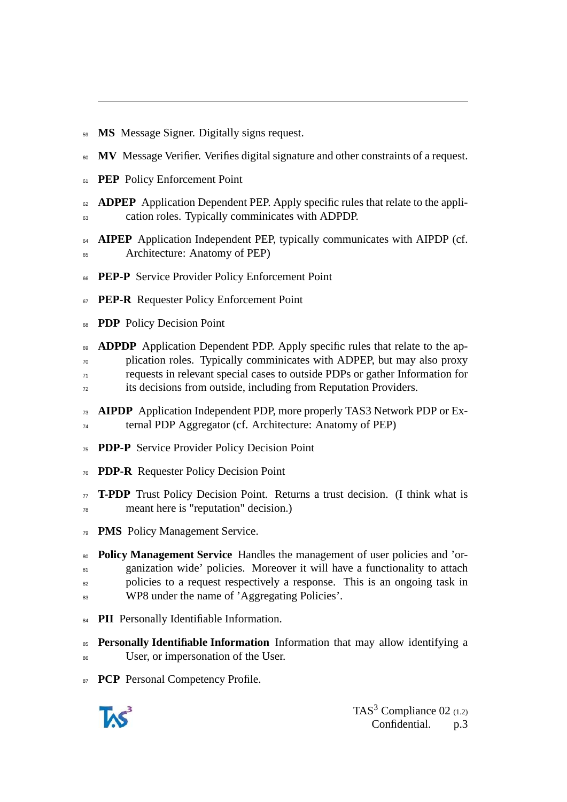**MS** Message Signer. Digitally signs request.

- **MV** Message Verifier. Verifies digital signature and other constraints of a request.
- **PEP** Policy Enforcement Point
- **ADPEP** Application Dependent PEP. Apply specific rules that relate to the appli-cation roles. Typically comminicates with ADPDP.
- **AIPEP** Application Independent PEP, typically communicates with AIPDP (cf. Architecture: Anatomy of PEP)
- **PEP-P** Service Provider Policy Enforcement Point
- **PEP-R** Requester Policy Enforcement Point
- **PDP** Policy Decision Point
- **ADPDP** Application Dependent PDP. Apply specific rules that relate to the ap- plication roles. Typically comminicates with ADPEP, but may also proxy requests in relevant special cases to outside PDPs or gather Information for its decisions from outside, including from Reputation Providers.
- **AIPDP** Application Independent PDP, more properly TAS3 Network PDP or Ex-ternal PDP Aggregator (cf. Architecture: Anatomy of PEP)
- **PDP-P** Service Provider Policy Decision Point
- **PDP-R** Requester Policy Decision Point
- **T-PDP** Trust Policy Decision Point. Returns a trust decision. (I think what is meant here is "reputation" decision.)
- **PMS** Policy Management Service.
- **Policy Management Service** Handles the management of user policies and 'or-81 ganization wide' policies. Moreover it will have a functionality to attach policies to a request respectively a response. This is an ongoing task in 83 WP8 under the name of 'Aggregating Policies'.
- **PII** Personally Identifiable Information.
- **Personally Identifiable Information** Information that may allow identifying a 86 User, or impersonation of the User.
- **PCP** Personal Competency Profile.

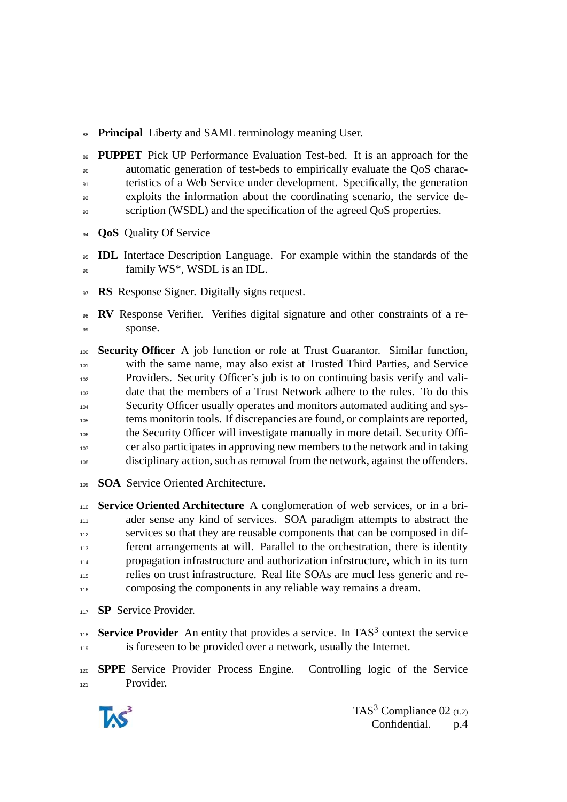**Principal** Liberty and SAML terminology meaning User.

- **PUPPET** Pick UP Performance Evaluation Test-bed. It is an approach for the automatic generation of test-beds to empirically evaluate the QoS charac- teristics of a Web Service under development. Specifically, the generation exploits the information about the coordinating scenario, the service de-
- s scription (WSDL) and the specification of the agreed QoS properties.
- **QoS** Quality Of Service
- **IDL** Interface Description Language. For example within the standards of the family WS\*, WSDL is an IDL.
- **RS** Response Signer. Digitally signs request.
- **RV** Response Verifier. Verifies digital signature and other constraints of a re-99 sponse.
- **Security Officer** A job function or role at Trust Guarantor. Similar function, with the same name, may also exist at Trusted Third Parties, and Service Providers. Security Officer's job is to on continuing basis verify and vali- date that the members of a Trust Network adhere to the rules. To do this Security Officer usually operates and monitors automated auditing and sys- tems monitorin tools. If discrepancies are found, or complaints are reported, the Security Officer will investigate manually in more detail. Security Offi- cer also participates in approving new members to the network and in taking disciplinary action, such as removal from the network, against the offenders.
- **SOA** Service Oriented Architecture.
- **Service Oriented Architecture** A conglomeration of web services, or in a bri-111 ader sense any kind of services. SOA paradigm attempts to abstract the 112 services so that they are reusable components that can be composed in dif- ferent arrangements at will. Parallel to the orchestration, there is identity propagation infrastructure and authorization infrstructure, which in its turn relies on trust infrastructure. Real life SOAs are mucl less generic and re-composing the components in any reliable way remains a dream.
- **SP** Service Provider.
- 118 **Service Provider** An entity that provides a service. In TAS<sup>3</sup> context the service is foreseen to be provided over a network, usually the Internet.
- **SPPE** Service Provider Process Engine. Controlling logic of the Service Provider.



TAS<sup>3</sup> Compliance 02  $(1.2)$ Confidential. p.4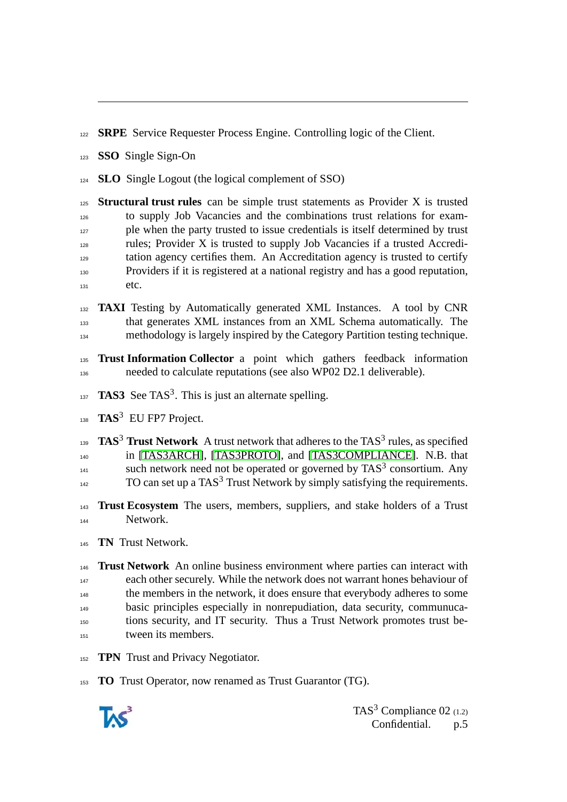**SRPE** Service Requester Process Engine. Controlling logic of the Client.

**SSO** Single Sign-On

**SLO** Single Logout (the logical complement of SSO)

 **Structural trust rules** can be simple trust statements as Provider X is trusted to supply Job Vacancies and the combinations trust relations for exam-<sup>127</sup> ple when the party trusted to issue credentials is itself determined by trust rules; Provider X is trusted to supply Job Vacancies if a trusted Accredi- tation agency certifies them. An Accreditation agency is trusted to certify Providers if it is registered at a national registry and has a good reputation, etc.

**TAXI** Testing by Automatically generated XML Instances. A tool by CNR that generates XML instances from an XML Schema automatically. The methodology is largely inspired by the Category Partition testing technique.

 **Trust Information Collector** a point which gathers feedback information needed to calculate reputations (see also WP02 D2.1 deliverable).

 $TAS3$  See TAS<sup>3</sup>. This is just an alternate spelling.

<sup>138</sup> TAS<sup>3</sup> EU FP7 Project.

**TAS<sup>3</sup> Trust Network** A trust network that adheres to the TAS<sup>3</sup> rules, as specified in [\[TAS3ARCH\]](#page-6-1), [\[TAS3PROTO\]](#page-6-2), and [\[TAS3COMPLIANCE\]](#page-6-3). N.B. that such network need not be operated or governed by  $TAS<sup>3</sup>$  consortium. Any  $_{142}$  TO can set up a TAS<sup>3</sup> Trust Network by simply satisfying the requirements.

 **Trust Ecosystem** The users, members, suppliers, and stake holders of a Trust Network.

**TN** Trust Network.

 **Trust Network** An online business environment where parties can interact with each other securely. While the network does not warrant hones behaviour of the members in the network, it does ensure that everybody adheres to some basic principles especially in nonrepudiation, data security, communuca- tions security, and IT security. Thus a Trust Network promotes trust be-tween its members.

**TPN** Trust and Privacy Negotiator.

**TO** Trust Operator, now renamed as Trust Guarantor (TG).



TAS<sup>3</sup> Compliance 02  $(1.2)$ Confidential. p.5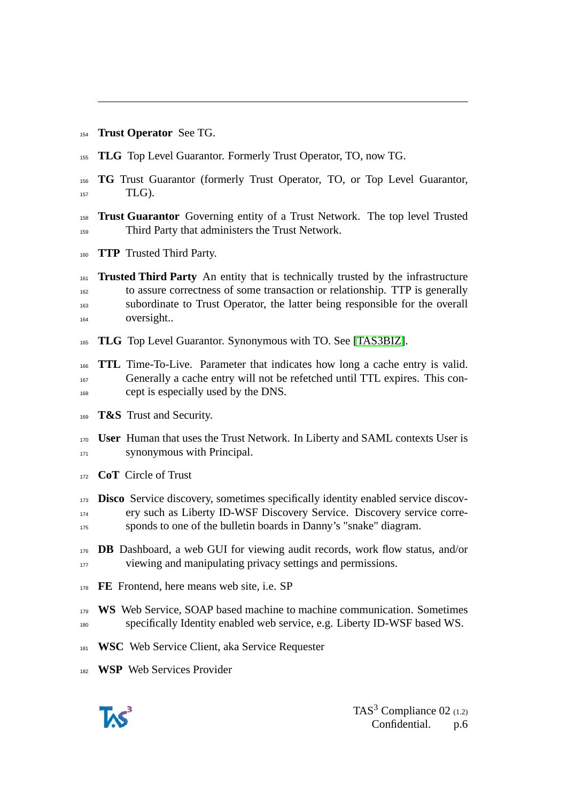**Trust Operator** See TG.

- **TLG** Top Level Guarantor. Formerly Trust Operator, TO, now TG.
- **TG** Trust Guarantor (formerly Trust Operator, TO, or Top Level Guarantor,  $TLG$ ).
- **Trust Guarantor** Governing entity of a Trust Network. The top level Trusted Third Party that administers the Trust Network.
- **TTP** Trusted Third Party.
- **Trusted Third Party** An entity that is technically trusted by the infrastructure to assure correctness of some transaction or relationship. TTP is generally subordinate to Trust Operator, the latter being responsible for the overall oversight..
- **TLG** Top Level Guarantor. Synonymous with TO. See [\[TAS3BIZ\]](#page-6-4).

 **TTL** Time-To-Live. Parameter that indicates how long a cache entry is valid. Generally a cache entry will not be refetched until TTL expires. This con-cept is especially used by the DNS.

- **T&S** Trust and Security.
- **User** Human that uses the Trust Network. In Liberty and SAML contexts User is synonymous with Principal.
- **CoT** Circle of Trust
- **Disco** Service discovery, sometimes specifically identity enabled service discov- ery such as Liberty ID-WSF Discovery Service. Discovery service corre-sponds to one of the bulletin boards in Danny's "snake" diagram.
- **DB** Dashboard, a web GUI for viewing audit records, work flow status, and/or 177 viewing and manipulating privacy settings and permissions.
- **FE** Frontend, here means web site, i.e. SP
- **WS** Web Service, SOAP based machine to machine communication. Sometimes specifically Identity enabled web service, e.g. Liberty ID-WSF based WS.
- **WSC** Web Service Client, aka Service Requester
- **WSP** Web Services Provider

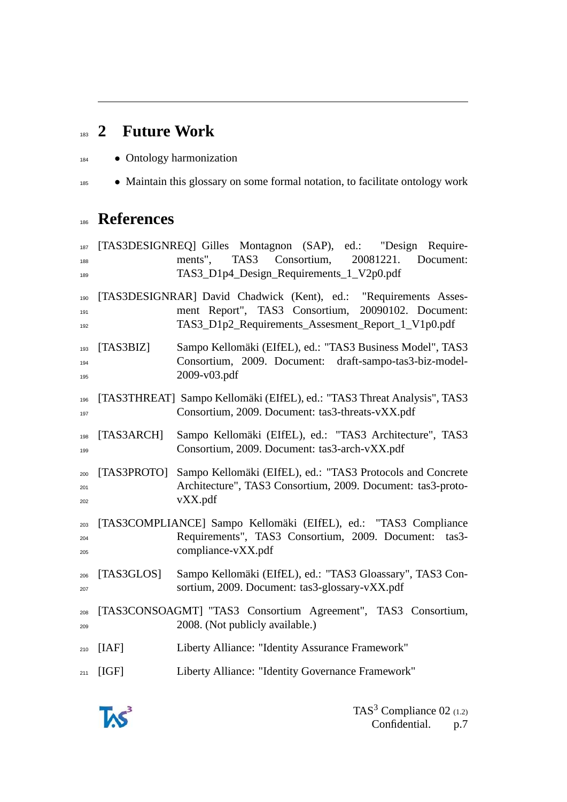## **2 Future Work**

- Ontology harmonization
- Maintain this glossary on some formal notation, to facilitate ontology work

## **References**

<span id="page-6-4"></span><span id="page-6-2"></span><span id="page-6-1"></span> [TAS3DESIGNREQ] Gilles Montagnon (SAP), ed.: "Design Require- ments", TAS3 Consortium, 20081221. Document: TAS3\_D1p4\_Design\_Requirements\_1\_V2p0.pdf [TAS3DESIGNRAR] David Chadwick (Kent), ed.: "Requirements Asses- ment Report", TAS3 Consortium, 20090102. Document: TAS3\_D1p2\_Requirements\_Assesment\_Report\_1\_V1p0.pdf [TAS3BIZ] Sampo Kellomäki (EIfEL), ed.: "TAS3 Business Model", TAS3 Consortium, 2009. Document: draft-sampo-tas3-biz-model- 2009-v03.pdf [TAS3THREAT] Sampo Kellomäki (EIfEL), ed.: "TAS3 Threat Analysis", TAS3 Consortium, 2009. Document: tas3-threats-vXX.pdf [TAS3ARCH] Sampo Kellomäki (EIfEL), ed.: "TAS3 Architecture", TAS3 Consortium, 2009. Document: tas3-arch-vXX.pdf [TAS3PROTO] Sampo Kellomäki (EIfEL), ed.: "TAS3 Protocols and Concrete Architecture", TAS3 Consortium, 2009. Document: tas3-proto- vXX.pdf [TAS3COMPLIANCE] Sampo Kellomäki (EIfEL), ed.: "TAS3 Compliance Requirements", TAS3 Consortium, 2009. Document: tas3- compliance-vXX.pdf [TAS3GLOS] Sampo Kellomäki (EIfEL), ed.: "TAS3 Gloassary", TAS3 Con- sortium, 2009. Document: tas3-glossary-vXX.pdf [TAS3CONSOAGMT] "TAS3 Consortium Agreement", TAS3 Consortium, 2008. (Not publicly available.) [IAF] Liberty Alliance: "Identity Assurance Framework" [IGF] Liberty Alliance: "Identity Governance Framework"

<span id="page-6-3"></span><span id="page-6-0"></span>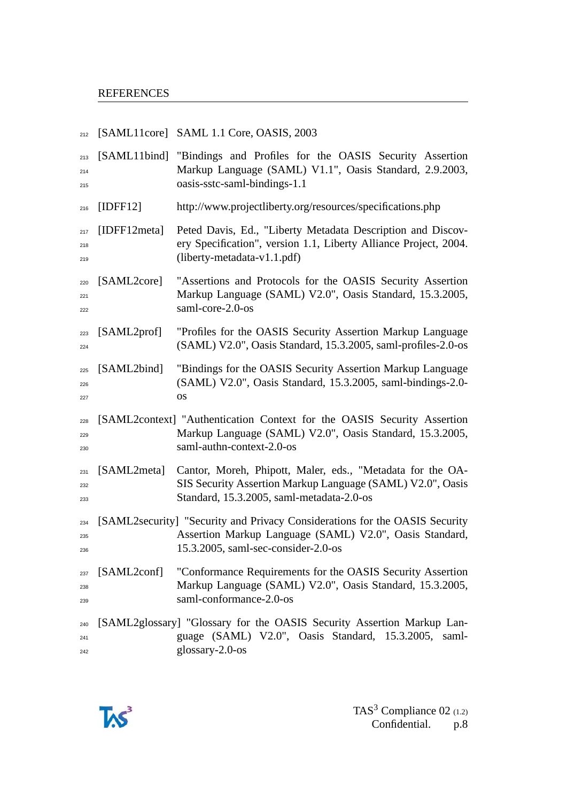| 212               |              | [SAML11core] SAML 1.1 Core, OASIS, 2003                                                                                                                                       |
|-------------------|--------------|-------------------------------------------------------------------------------------------------------------------------------------------------------------------------------|
| 213<br>214<br>215 |              | [SAML11bind] "Bindings and Profiles for the OASIS Security Assertion<br>Markup Language (SAML) V1.1", Oasis Standard, 2.9.2003,<br>oasis-sstc-saml-bindings-1.1               |
| 216               | [IDFF12]     | http://www.projectliberty.org/resources/specifications.php                                                                                                                    |
| 217<br>218<br>219 | [IDFF12meta] | Peted Davis, Ed., "Liberty Metadata Description and Discov-<br>ery Specification", version 1.1, Liberty Alliance Project, 2004.<br>$(liberty-metalata-v1.1.pdf)$              |
| 220<br>221<br>222 | [SAML2core]  | "Assertions and Protocols for the OASIS Security Assertion<br>Markup Language (SAML) V2.0", Oasis Standard, 15.3.2005,<br>saml-core-2.0-os                                    |
| 223<br>224        | [SAML2prof]  | "Profiles for the OASIS Security Assertion Markup Language<br>(SAML) V2.0", Oasis Standard, 15.3.2005, saml-profiles-2.0-os                                                   |
| 225<br>226<br>227 | [SAML2bind]  | "Bindings for the OASIS Security Assertion Markup Language<br>(SAML) V2.0", Oasis Standard, 15.3.2005, saml-bindings-2.0-<br>OS                                               |
| 228<br>229<br>230 |              | [SAML2context] "Authentication Context for the OASIS Security Assertion<br>Markup Language (SAML) V2.0", Oasis Standard, 15.3.2005,<br>saml-authn-context-2.0-os              |
| 231<br>232<br>233 | [SAML2meta]  | Cantor, Moreh, Phipott, Maler, eds., "Metadata for the OA-<br>SIS Security Assertion Markup Language (SAML) V2.0", Oasis<br>Standard, 15.3.2005, saml-metadata-2.0-os         |
| 234<br>235<br>236 |              | [SAML2security] "Security and Privacy Considerations for the OASIS Security<br>Assertion Markup Language (SAML) V2.0", Oasis Standard,<br>15.3.2005, saml-sec-consider-2.0-os |
| 237<br>238<br>239 | [SAML2conf]  | "Conformance Requirements for the OASIS Security Assertion<br>Markup Language (SAML) V2.0", Oasis Standard, 15.3.2005,<br>saml-conformance-2.0-os                             |
| 240<br>241<br>242 |              | [SAML2glossary] "Glossary for the OASIS Security Assertion Markup Lan-<br>guage (SAML) V2.0", Oasis Standard, 15.3.2005, saml-<br>glossary-2.0-os                             |

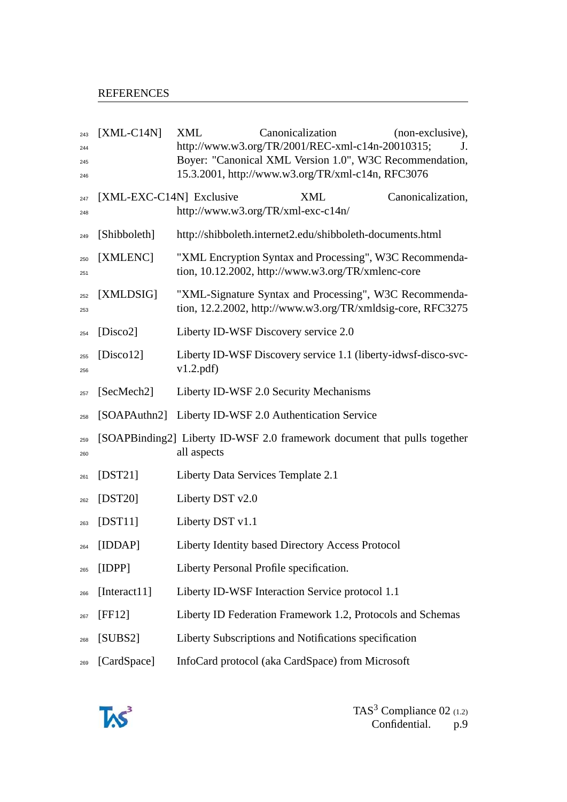| 243<br>244<br>245<br>246 | $[XML-C14N]$             | <b>XML</b>       | Canonicalization<br>http://www.w3.org/TR/2001/REC-xml-c14n-20010315;<br>Boyer: "Canonical XML Version 1.0", W3C Recommendation,<br>15.3.2001, http://www.w3.org/TR/xml-c14n, RFC3076 | (non-exclusive),<br>J. |
|--------------------------|--------------------------|------------------|--------------------------------------------------------------------------------------------------------------------------------------------------------------------------------------|------------------------|
| 247<br>248               | [XML-EXC-C14N] Exclusive |                  | XML<br>http://www.w3.org/TR/xml-exc-c14n/                                                                                                                                            | Canonicalization,      |
| 249                      | [Shibboleth]             |                  | http://shibboleth.internet2.edu/shibboleth-documents.html                                                                                                                            |                        |
| 250<br>251               | [XMLENC]                 |                  | "XML Encryption Syntax and Processing", W3C Recommenda-<br>tion, 10.12.2002, http://www.w3.org/TR/xmlenc-core                                                                        |                        |
| 252<br>253               | [XMLDSIG]                |                  | "XML-Signature Syntax and Processing", W3C Recommenda-<br>tion, 12.2.2002, http://www.w3.org/TR/xmldsig-core, RFC3275                                                                |                        |
| 254                      | [ $Disco2$ ]             |                  | Liberty ID-WSF Discovery service 2.0                                                                                                                                                 |                        |
| 255<br>256               | [ $Discount2$ ]          | v1.2.pdf         | Liberty ID-WSF Discovery service 1.1 (liberty-idwsf-disco-svc-                                                                                                                       |                        |
| 257                      | [SecMech2]               |                  | Liberty ID-WSF 2.0 Security Mechanisms                                                                                                                                               |                        |
| 258                      |                          |                  | [SOAPAuthn2] Liberty ID-WSF 2.0 Authentication Service                                                                                                                               |                        |
| 259<br>260               |                          | all aspects      | [SOAPBinding2] Liberty ID-WSF 2.0 framework document that pulls together                                                                                                             |                        |
| 261                      | $[$ DST21]               |                  | Liberty Data Services Template 2.1                                                                                                                                                   |                        |
| 262                      | $[$ DST20]               | Liberty DST v2.0 |                                                                                                                                                                                      |                        |
| 263                      | [DST11]                  | Liberty DST v1.1 |                                                                                                                                                                                      |                        |
| 264                      | [IDDAP]                  |                  | Liberty Identity based Directory Access Protocol                                                                                                                                     |                        |
| 265                      | [IDPP]                   |                  | Liberty Personal Profile specification.                                                                                                                                              |                        |
| 266                      | [Interact11]             |                  | Liberty ID-WSF Interaction Service protocol 1.1                                                                                                                                      |                        |
| 267                      | [FF12]                   |                  | Liberty ID Federation Framework 1.2, Protocols and Schemas                                                                                                                           |                        |
| 268                      | [SUBS2]                  |                  | Liberty Subscriptions and Notifications specification                                                                                                                                |                        |
| 269                      | [CardSpace]              |                  | InfoCard protocol (aka CardSpace) from Microsoft                                                                                                                                     |                        |

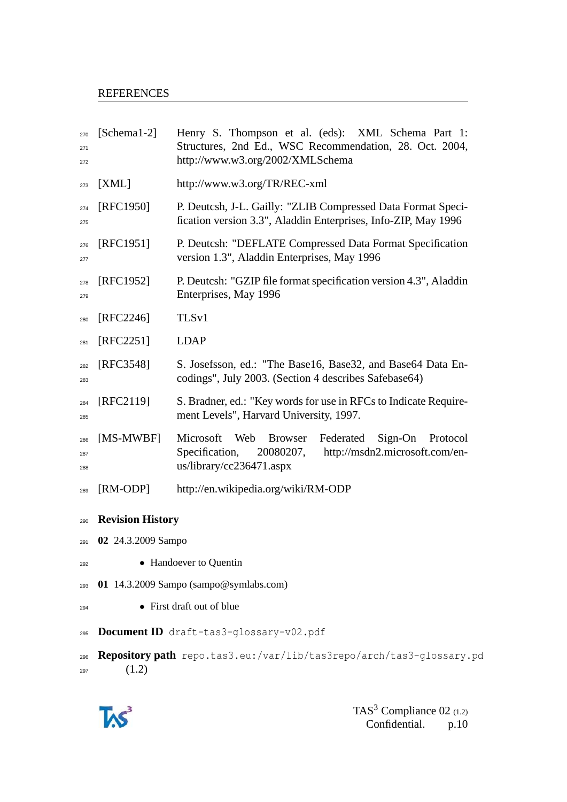## **REFERENCES**

| 270<br>271<br>272 | $[Schemal-2]$                          | Henry S. Thompson et al. (eds): XML Schema Part 1:<br>Structures, 2nd Ed., WSC Recommendation, 28. Oct. 2004,<br>http://www.w3.org/2002/XMLSchema                            |  |  |
|-------------------|----------------------------------------|------------------------------------------------------------------------------------------------------------------------------------------------------------------------------|--|--|
| 273               | [XML]                                  | http://www.w3.org/TR/REC-xml                                                                                                                                                 |  |  |
| 274<br>275        | [RFC1950]                              | P. Deutcsh, J-L. Gailly: "ZLIB Compressed Data Format Speci-<br>fication version 3.3", Aladdin Enterprises, Info-ZIP, May 1996                                               |  |  |
| 276<br>277        | [RFC1951]                              | P. Deutcsh: "DEFLATE Compressed Data Format Specification<br>version 1.3", Aladdin Enterprises, May 1996                                                                     |  |  |
| 278<br>279        | [RFC1952]                              | P. Deutcsh: "GZIP file format specification version 4.3", Aladdin<br>Enterprises, May 1996                                                                                   |  |  |
| 280               | $[RFC2246]$                            | TLS <sub>v1</sub>                                                                                                                                                            |  |  |
| 281               | [RFC2251]                              | <b>LDAP</b>                                                                                                                                                                  |  |  |
| 282<br>283        | [RFC3548]                              | S. Josefsson, ed.: "The Base16, Base32, and Base64 Data En-<br>codings", July 2003. (Section 4 describes Safebase64)                                                         |  |  |
| 284<br>285        | [RFC2119]                              | S. Bradner, ed.: "Key words for use in RFCs to Indicate Require-<br>ment Levels", Harvard University, 1997.                                                                  |  |  |
| 286<br>287<br>288 | [MS-MWBF]                              | $Sign$ - $On$<br>Microsoft<br>Web<br><b>Browser</b><br>Federated<br>Protocol<br>Specification,<br>20080207,<br>http://msdn2.microsoft.com/en-<br>$us/library/cc236471.$ aspx |  |  |
| 289               | [RM-ODP]                               | http://en.wikipedia.org/wiki/RM-ODP                                                                                                                                          |  |  |
| 290               | <b>Revision History</b>                |                                                                                                                                                                              |  |  |
| 291               | 02 24.3.2009 Sampo                     |                                                                                                                                                                              |  |  |
| 292               | • Handoever to Quentin                 |                                                                                                                                                                              |  |  |
| 293               | 01 14.3.2009 Sampo (sampo@symlabs.com) |                                                                                                                                                                              |  |  |
| 294               | • First draft out of blue              |                                                                                                                                                                              |  |  |
| 295               |                                        | Document ID draft-tas3-glossary-v02.pdf                                                                                                                                      |  |  |
| 296<br>297        | (1.2)                                  | Repository path repo.tas3.eu:/var/lib/tas3repo/arch/tas3-glossary.pd                                                                                                         |  |  |